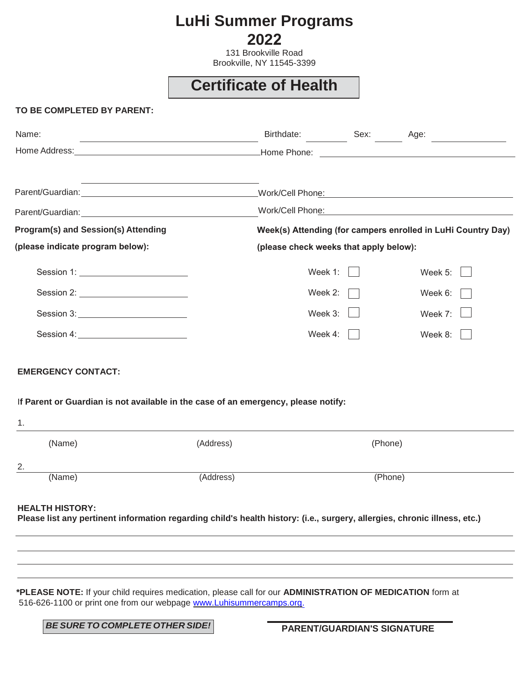## **LuHi Summer Programs 2022**

131 Brookville Road Brookville, NY 11545-3399

# **Certificate of Health**

#### **TO BE COMPLETED BY PARENT:**

| Name:                                      | Birthdate: Sex: Age:                                         |  |                |
|--------------------------------------------|--------------------------------------------------------------|--|----------------|
|                                            |                                                              |  |                |
|                                            |                                                              |  |                |
|                                            | Work/Cell Phone: Work/Cell Phone:                            |  |                |
| <b>Program(s) and Session(s) Attending</b> | Week(s) Attending (for campers enrolled in LuHi Country Day) |  |                |
| (please indicate program below):           | (please check weeks that apply below):                       |  |                |
| Session 1: ___________________________     | Week $1:$                                                    |  | Week $5:$      |
|                                            | Week 2: $\Box$                                               |  | Week $6:$      |
|                                            | Week $3:$                                                    |  | Week 7: $\Box$ |
|                                            | Week 4: $\Box$                                               |  | Week $8:$      |
| <b>EMERGENCY CONTACT:</b>                  |                                                              |  |                |

I**f Parent or Guardian is not available in the case of an emergency, please notify:**

| .  |        |           |         |
|----|--------|-----------|---------|
|    | (Name) | (Address) | (Phone) |
| 2. |        |           |         |
|    | (Name) | (Address) | (Phone) |

#### **HEALTH HISTORY:**

1.

**Please list any pertinent information regarding child's health history: (i.e., surgery, allergies, chronic illness, etc.)**

**\*PLEASE NOTE:** If your child requires medication, please call for our **ADMINISTRATION OF MEDICATION** form at 516-626-1100 or print one from our webpage [www.Luhisummercamps.org.](http://www.luhisummercamps.org./)

*BE SURE TO COMPLETE OTHER SIDE!*

**PARENT/GUARDIAN'S SIGNATURE**